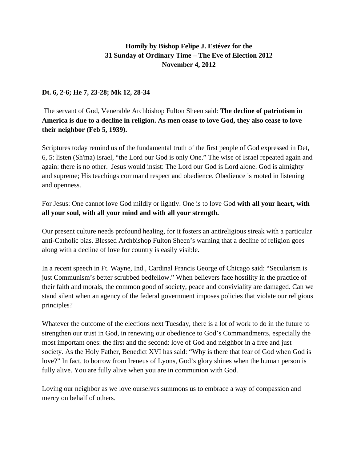## **Homily by Bishop Felipe J. Estévez for the 31 Sunday of Ordinary Time – The Eve of Election 2012 November 4, 2012**

## **Dt. 6, 2-6; He 7, 23-28; Mk 12, 28-34**

 The servant of God, Venerable Archbishop Fulton Sheen said: **The decline of patriotism in America is due to a decline in religion. As men cease to love God, they also cease to love their neighbor (Feb 5, 1939).** 

Scriptures today remind us of the fundamental truth of the first people of God expressed in Det, 6, 5: listen (Sh'ma) Israel, "the Lord our God is only One." The wise of Israel repeated again and again: there is no other. Jesus would insist: The Lord our God is Lord alone. God is almighty and supreme; His teachings command respect and obedience. Obedience is rooted in listening and openness.

For Jesus: One cannot love God mildly or lightly. One is to love God **with all your heart, with all your soul, with all your mind and with all your strength.** 

Our present culture needs profound healing, for it fosters an antireligious streak with a particular anti-Catholic bias. Blessed Archbishop Fulton Sheen's warning that a decline of religion goes along with a decline of love for country is easily visible.

In a recent speech in Ft. Wayne, Ind., Cardinal Francis George of Chicago said: "Secularism is just Communism's better scrubbed bedfellow." When believers face hostility in the practice of their faith and morals, the common good of society, peace and conviviality are damaged. Can we stand silent when an agency of the federal government imposes policies that violate our religious principles?

Whatever the outcome of the elections next Tuesday, there is a lot of work to do in the future to strengthen our trust in God, in renewing our obedience to God's Commandments, especially the most important ones: the first and the second: love of God and neighbor in a free and just society. As the Holy Father, Benedict XVI has said: "Why is there that fear of God when God is love?" In fact, to borrow from Ireneus of Lyons, God's glory shines when the human person is fully alive. You are fully alive when you are in communion with God.

Loving our neighbor as we love ourselves summons us to embrace a way of compassion and mercy on behalf of others.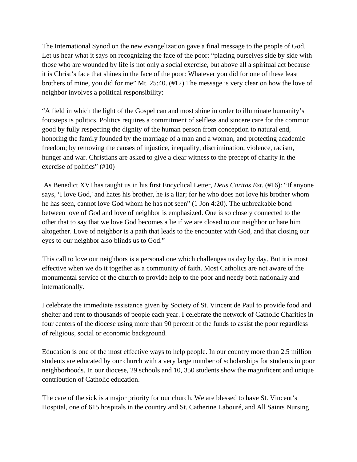The International Synod on the new evangelization gave a final message to the people of God. Let us hear what it says on recognizing the face of the poor: "placing ourselves side by side with those who are wounded by life is not only a social exercise, but above all a spiritual act because it is Christ's face that shines in the face of the poor: Whatever you did for one of these least brothers of mine, you did for me" Mt. 25:40. (#12) The message is very clear on how the love of neighbor involves a political responsibility:

"A field in which the light of the Gospel can and most shine in order to illuminate humanity's footsteps is politics. Politics requires a commitment of selfless and sincere care for the common good by fully respecting the dignity of the human person from conception to natural end, honoring the family founded by the marriage of a man and a woman, and protecting academic freedom; by removing the causes of injustice, inequality, discrimination, violence, racism, hunger and war. Christians are asked to give a clear witness to the precept of charity in the exercise of politics" (#10)

 As Benedict XVI has taught us in his first Encyclical Letter, *Deus Caritas Est.* (#16): "If anyone says, 'I love God,' and hates his brother, he is a liar; for he who does not love his brother whom he has seen, cannot love God whom he has not seen" (1 Jon 4:20). The unbreakable bond between love of God and love of neighbor is emphasized. One is so closely connected to the other that to say that we love God becomes a lie if we are closed to our neighbor or hate him altogether. Love of neighbor is a path that leads to the encounter with God, and that closing our eyes to our neighbor also blinds us to God."

This call to love our neighbors is a personal one which challenges us day by day. But it is most effective when we do it together as a community of faith. Most Catholics are not aware of the monumental service of the church to provide help to the poor and needy both nationally and internationally.

I celebrate the immediate assistance given by Society of St. Vincent de Paul to provide food and shelter and rent to thousands of people each year. I celebrate the network of Catholic Charities in four centers of the diocese using more than 90 percent of the funds to assist the poor regardless of religious, social or economic background.

Education is one of the most effective ways to help people. In our country more than 2.5 million students are educated by our church with a very large number of scholarships for students in poor neighborhoods. In our diocese, 29 schools and 10, 350 students show the magnificent and unique contribution of Catholic education.

The care of the sick is a major priority for our church. We are blessed to have St. Vincent's Hospital, one of 615 hospitals in the country and St. Catherine Labouré, and All Saints Nursing